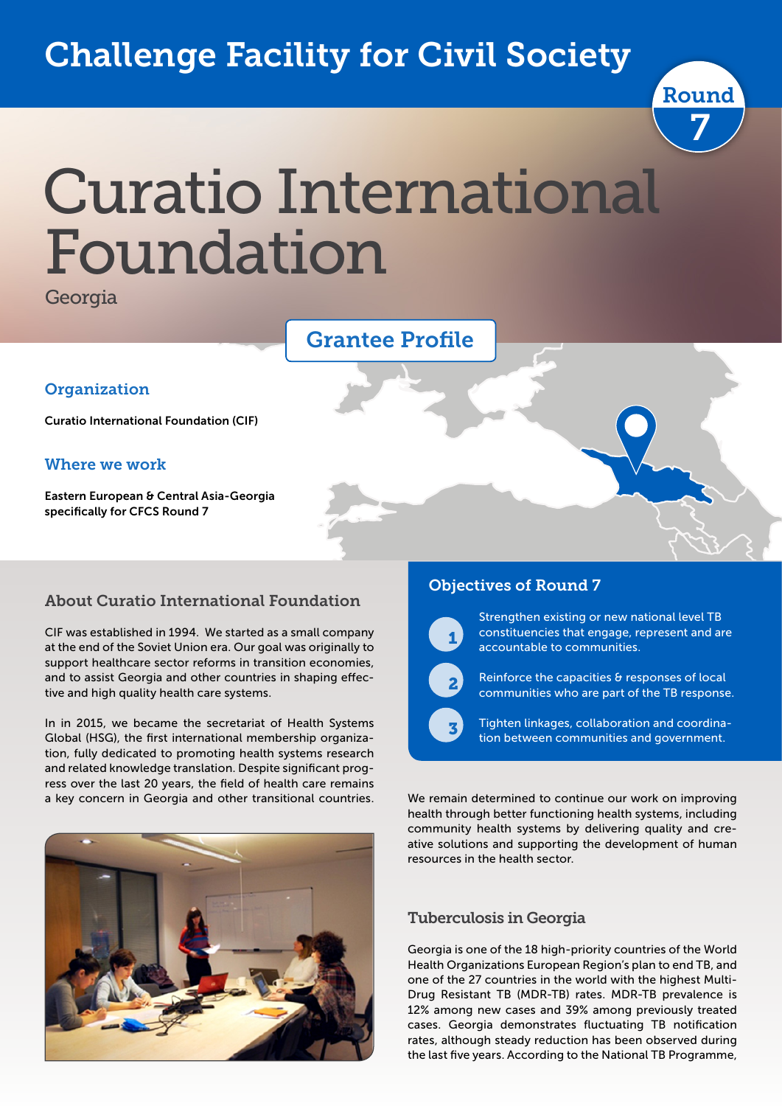## Challenge Facility for Civil Society



# Curatio International Foundation

**Georgia** 

**Organization** 

Where we work

specifically for CFCS Round 7



#### About Curatio International Foundation

CIF was established in 1994. We started as a small company at the end of the Soviet Union era. Our goal was originally to support healthcare sector reforms in transition economies, and to assist Georgia and other countries in shaping effective and high quality health care systems.

In in 2015, we became the secretariat of Health Systems Global (HSG), the first international membership organization, fully dedicated to promoting health systems research and related knowledge translation. Despite significant progress over the last 20 years, the field of health care remains a key concern in Georgia and other transitional countries.



#### Objectives of Round 7



 $\overline{\phantom{a}}$ 

 $\overline{\phantom{a}}$ 

Strengthen existing or new national level TB constituencies that engage, represent and are accountable to communities.

Reinforce the capacities & responses of local communities who are part of the TB response.

Tighten linkages, collaboration and coordination between communities and government.

We remain determined to continue our work on improving health through better functioning health systems, including community health systems by delivering quality and creative solutions and supporting the development of human resources in the health sector.

#### Tuberculosis in Georgia

Georgia is one of the 18 high-priority countries of the World Health Organizations European Region's plan to end TB, and one of the 27 countries in the world with the highest Multi-Drug Resistant TB (MDR-TB) rates. MDR-TB prevalence is 12% among new cases and 39% among previously treated cases. Georgia demonstrates fluctuating TB notification rates, although steady reduction has been observed during the last five years. According to the National TB Programme,